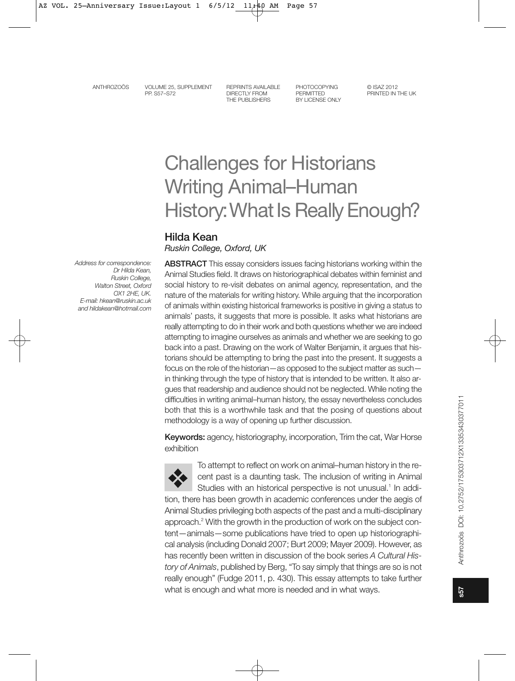ANTHROZOÖS VOLUME 25, SUPPLEMENT REPRINTS AVAILABLE PHOTOCOPYING © ISAZ 2012

THE PUBLISHERS

PERMITTED PRINTED IN THE UK<br>RY LICENSE ONLY

# Challenges for Historians Writing Animal–Human History: What Is Really Enough?

# Hilda Kean

*Ruskin College, Oxford, UK*

*Address for correspondence: Dr Hilda Kean, Ruskin College, Walton Street, Oxford OX1 2HE, UK. E-mail: hkean@ruskin.ac.uk and hildakean@hotmail.com*

ABSTRACT This essay considers issues facing historians working within the Animal Studies field. It draws on historiographical debates within feminist and social history to re-visit debates on animal agency, representation, and the nature of the materials for writing history. While arguing that the incorporation of animals within existing historical frameworks is positive in giving a status to animals' pasts, it suggests that more is possible. It asks what historians are really attempting to do in their work and both questions whether we are indeed attempting to imagine ourselves as animals and whether we are seeking to go back into a past. Drawing on the work of Walter Benjamin, it argues that historians should be attempting to bring the past into the present. It suggests a focus on the role of the historian—as opposed to the subject matter as such in thinking through the type of history that is intended to be written. It also argues that readership and audience should not be neglected. While noting the difficulties in writing animal–human history, the essay nevertheless concludes both that this is a worthwhile task and that the posing of questions about methodology is a way of opening up further discussion.

Keywords: agency, historiography, incorporation, Trim the cat, War Horse exhibition



To attempt to reflect on work on animal–human history in the recent past is a daunting task. The inclusion of writing in Animal Studies with an historical perspective is not unusual.<sup>1</sup> In addi-

tion, there has been growth in academic conferences under the aegis of Animal Studies privileging both aspects of the past and a multi-disciplinary approach. <sup>2</sup> With the growth in the production of work on the subject content—animals—some publications have tried to open up historiographical analysis (including Donald 2007; Burt 2009; Mayer 2009). However, as has recently been written in discussion of the book series *A Cultural History of Animals*, published by Berg, "To say simply that things are so is not really enough" (Fudge 2011, p. 430). This essay attempts to take further what is enough and what more is needed and in what ways.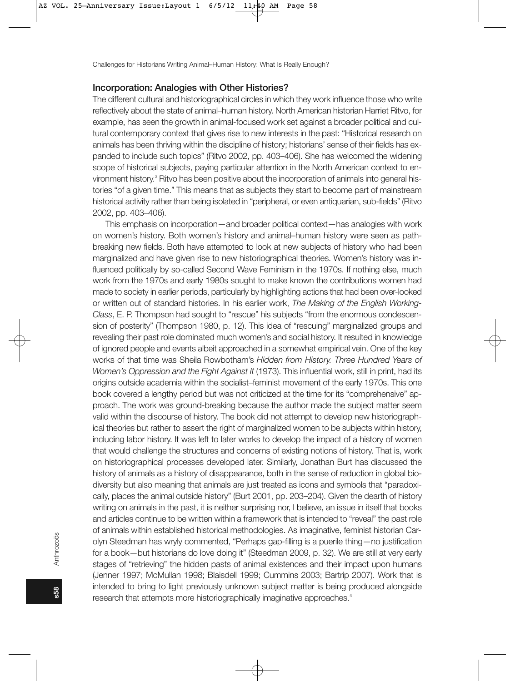## Incorporation: Analogies with Other Histories?

The different cultural and historiographical circles in which they work influence those who write reflectively about the state of animal–human history. North American historian Harriet Ritvo, for example, has seen the growth in animal-focused work set against a broader political and cultural contemporary context that gives rise to new interests in the past: "Historical research on animals has been thriving within the discipline of history; historians' sense of their fields has expanded to include such topics" (Ritvo 2002, pp. 403–406). She has welcomed the widening scope of historical subjects, paying particular attention in the North American context to environment history. <sup>3</sup> Ritvo has been positive about the incorporation of animals into general histories "of a given time." This means that as subjects they start to become part of mainstream historical activity rather than being isolated in "peripheral, or even antiquarian, sub-fields" (Ritvo 2002, pp. 403–406).

This emphasis on incorporation—and broader political context—has analogies with work on women's history. Both women's history and animal–human history were seen as pathbreaking new fields. Both have attempted to look at new subjects of history who had been marginalized and have given rise to new historiographical theories. Women's history was influenced politically by so-called Second Wave Feminism in the 1970s. If nothing else, much work from the 1970s and early 1980s sought to make known the contributions women had made to society in earlier periods, particularly by highlighting actions that had been over-looked or written out of standard histories. In his earlier work, *The Making of the English Working-Class*, E. P. Thompson had sought to "rescue" his subjects "from the enormous condescension of posterity" (Thompson 1980, p. 12). This idea of "rescuing" marginalized groups and revealing their past role dominated much women's and social history. It resulted in knowledge of ignored people and events albeit approached in a somewhat empirical vein. One of the key works of that time was Sheila Rowbotham's *Hidden from History. Three Hundred Years of Women's Oppression and the Fight Against It* (1973). This influential work, still in print, had its origins outside academia within the socialist–feminist movement of the early 1970s. This one book covered a lengthy period but was not criticized at the time for its "comprehensive" approach. The work was ground-breaking because the author made the subject matter seem valid within the discourse of history. The book did not attempt to develop new historiographical theories but rather to assert the right of marginalized women to be subjects within history, including labor history. It was left to later works to develop the impact of a history of women that would challenge the structures and concerns of existing notions of history. That is, work on historiographical processes developed later. Similarly, Jonathan Burt has discussed the history of animals as a history of disappearance, both in the sense of reduction in global biodiversity but also meaning that animals are just treated as icons and symbols that "paradoxically, places the animal outside history" (Burt 2001, pp. 203–204). Given the dearth of history writing on animals in the past, it is neither surprising nor, I believe, an issue in itself that books and articles continue to be written within a framework that is intended to "reveal" the past role of animals within established historical methodologies. As imaginative, feminist historian Carolyn Steedman has wryly commented, "Perhaps gap-filling is a puerile thing—no justification for a book—but historians do love doing it" (Steedman 2009, p. 32). We are still at very early stages of "retrieving" the hidden pasts of animal existences and their impact upon humans (Jenner 1997; McMullan 1998; Blaisdell 1999; Cummins 2003; Bartrip 2007). Work that is intended to bring to light previously unknown subject matter is being produced alongside research that attempts more historiographically imaginative approaches. 4

**s58**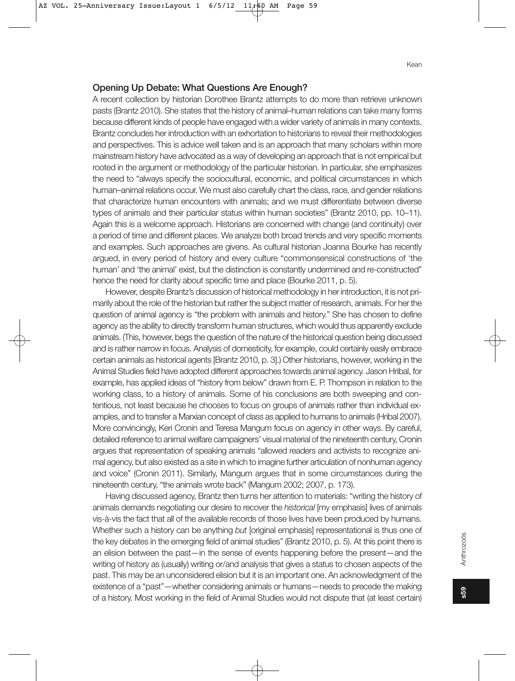#### Opening Up Debate: What Questions Are Enough?

A recent collection by historian Dorothee Brantz attempts to do more than retrieve unknown pasts (Brantz 2010). She states that the history of animal–human relations can take many forms because different kinds of people have engaged with a wider variety of animals in many contexts. Brantz concludes her introduction with an exhortation to historians to reveal their methodologies and perspectives. This is advice well taken and is an approach that many scholars within more mainstream history have advocated as a way of developing an approach that is not empirical but rooted in the argument or methodology of the particular historian. In particular, she emphasizes the need to "always specify the sociocultural, economic, and political circumstances in which human–animal relations occur. We must also carefully chart the class, race, and gender relations that characterize human encounters with animals; and we must differentiate between diverse types of animals and their particular status within human societies" (Brantz 2010, pp. 10–11). Again this is a welcome approach. Historians are concerned with change (and continuity) over a period of time and different places. We analyze both broad trends and very specific moments and examples. Such approaches are givens. As cultural historian Joanna Bourke has recently argued, in every period of history and every culture "commonsensical constructions of 'the human' and 'the animal' exist, but the distinction is constantly undermined and re-constructed" hence the need for clarity about specific time and place (Bourke 2011, p. 5).

However, despite Brantz's discussion of historical methodology in her introduction, it is not primarily about the role of the historian but rather the subject matter of research, animals. For her the question of animal agency is "the problem with animals and history." She has chosen to define agency as the ability to directly transform human structures, which would thus apparently exclude animals. (This, however, begs the question of the nature of the historical question being discussed and is rather narrow in focus. Analysis of domesticity, for example, could certainly easily embrace certain animals as historical agents [Brantz 2010, p. 3].) Other historians, however, working in the Animal Studies field have adopted different approaches towards animal agency. Jason Hribal, for example, has applied ideas of "history from below" drawn from E. P. Thompson in relation to the working class, to a history of animals. Some of his conclusions are both sweeping and contentious, not least because he chooses to focus on groups of animals rather than individual examples, and to transfer a Marxian concept of class as applied to humans to animals (Hribal 2007). More convincingly, Keri Cronin and Teresa Mangum focus on agency in other ways. By careful, detailed reference to animal welfare campaigners' visual material of the nineteenth century, Cronin argues that representation of speaking animals "allowed readers and activists to recognize animal agency, but also existed as a site in which to imagine further articulation of nonhuman agency and voice" (Cronin 2011). Similarly, Mangum argues that in some circumstances during the nineteenth century, "the animals wrote back" (Mangum 2002; 2007, p. 173).

Having discussed agency, Brantz then turns her attention to materials: "writing the history of animals demands negotiating our desire to recover the *historical* [my emphasis] lives of animals vis-à-vis the fact that all of the available records of those lives have been produced by humans. Whether such a history can be anything *but* [original emphasis] representational is thus one of the key debates in the emerging field of animal studies" (Brantz 2010, p. 5). At this point there is an elision between the past—in the sense of events happening before the present—and the writing of history as (usually) writing or/and analysis that gives a status to chosen aspects of the past. This may be an unconsidered elision but it is an important one. An acknowledgment of the existence of a "past"—whether considering animals or humans—needs to precede the making of a history. Most working in the field of Animal Studies would not dispute that (at least certain)

 $559$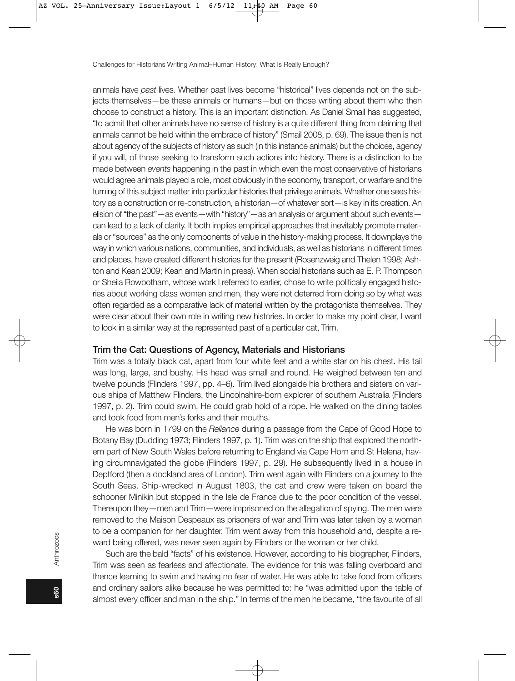animals have *past* lives. Whether past lives become "historical" lives depends not on the subjects themselves—be these animals or humans—but on those writing about them who then choose to construct a history. This is an important distinction. As Daniel Smail has suggested, "to admit that other animals have no sense of history is a quite different thing from claiming that animals cannot be held within the embrace of history" (Smail 2008, p. 69). The issue then is not about agency of the subjects of history as such (in this instance animals) but the choices, agency if you will, of those seeking to transform such actions into history. There is a distinction to be made between *events* happening in the past in which even the most conservative of historians would agree animals played a role, most obviously in the economy, transport, or warfare and the turning of this subject matter into particular histories that privilege animals. Whether one sees history as a construction or re-construction, a historian—of whatever sort—is key in its creation. An elision of"the past"—as events—with "history"—as an analysis or argument about such events can lead to a lack of clarity. It both implies empirical approaches that inevitably promote materials or "sources" as the only components of value in the history-making process. It downplays the way in which various nations, communities, and individuals, as well as historians in different times and places, have created different histories for the present (Rosenzweig and Thelen 1998; Ashton and Kean 2009; Kean and Martin in press). When social historians such as E. P. Thompson or Sheila Rowbotham, whose work I referred to earlier, chose to write politically engaged histories about working class women and men, they were not deterred from doing so by what was often regarded as a comparative lack of material written by the protagonists themselves. They were clear about their own role in writing new histories. In order to make my point clear, I want to look in a similar way at the represented past of a particular cat, Trim.

## Trim the Cat: Questions of Agency, Materials and Historians

Trim was a totally black cat, apart from four white feet and a white star on his chest. His tail was long, large, and bushy. His head was small and round. He weighed between ten and twelve pounds (Flinders 1997, pp. 4–6). Trim lived alongside his brothers and sisters on various ships of Matthew Flinders, the Lincolnshire-born explorer of southern Australia (Flinders 1997, p. 2). Trim could swim. He could grab hold of a rope. He walked on the dining tables and took food from men's forks and their mouths.

He was born in 1799 on the *Reliance* during a passage from the Cape of Good Hope to Botany Bay (Dudding 1973; Flinders 1997, p. 1). Trim was on the ship that explored the northern part of New South Wales before returning to England via Cape Horn and St Helena, having circumnavigated the globe (Flinders 1997, p. 29). He subsequently lived in a house in Deptford (then a dockland area of London). Trim went again with Flinders on a journey to the South Seas. Ship-wrecked in August 1803, the cat and crew were taken on board the schooner Minikin but stopped in the Isle de France due to the poor condition of the vessel. Thereupon they—men and Trim—were imprisoned on the allegation of spying. The men were removed to the Maison Despeaux as prisoners of war and Trim was later taken by a woman to be a companion for her daughter. Trim went away from this household and, despite a reward being offered, was never seen again by Flinders or the woman or her child.

Such are the bald "facts" of his existence. However, according to his biographer, Flinders, Trim was seen as fearless and affectionate. The evidence for this was falling overboard and thence learning to swim and having no fear of water. He was able to take food from officers and ordinary sailors alike because he was permitted to: he "was admitted upon the table of almost every officer and man in the ship." In terms of the men he became, "the favourite of all

**S60**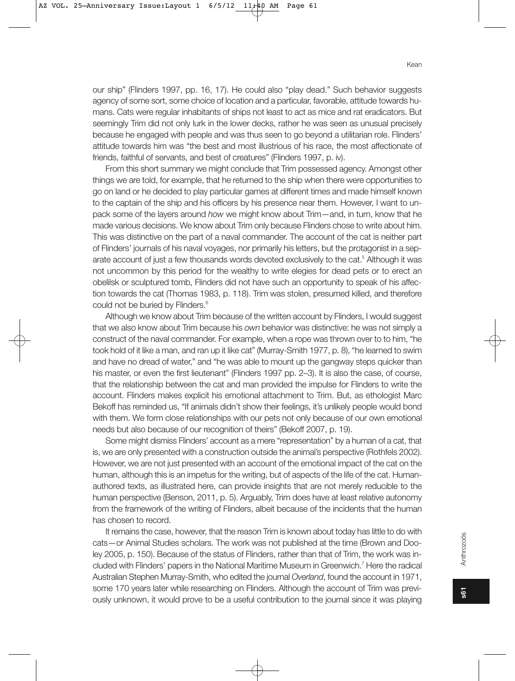our ship" (Flinders 1997, pp. 16, 17). He could also "play dead." Such behavior suggests agency of some sort, some choice of location and a particular, favorable, attitude towards humans. Cats were regular inhabitants of ships not least to act as mice and rat eradicators. But seemingly Trim did not only lurk in the lower decks, rather he was seen as unusual precisely because he engaged with people and was thus seen to go beyond a utilitarian role. Flinders' attitude towards him was "the best and most illustrious of his race, the most affectionate of friends, faithful of servants, and best of creatures" (Flinders 1997, p. iv).

From this short summary we might conclude that Trim possessed agency. Amongst other things we are told, for example, that he returned to the ship when there were opportunities to go on land or he decided to play particular games at different times and made himself known to the captain of the ship and his officers by his presence near them. However, I want to unpack some of the layers around *how* we might know about Trim—and, in turn, know that he made various decisions. We know about Trim only because Flinders chose to write about him. This was distinctive on the part of a naval commander. The account of the cat is neither part of Flinders' journals of his naval voyages, nor primarily his letters, but the protagonist in a separate account of just a few thousands words devoted exclusively to the cat.<sup>5</sup> Although it was not uncommon by this period for the wealthy to write elegies for dead pets or to erect an obelilsk or sculptured tomb, Flinders did not have such an opportunity to speak of his affection towards the cat (Thomas 1983, p. 118). Trim was stolen, presumed killed, and therefore could not be buried by Flinders. 6

Although we know about Trim because of the written account by Flinders, I would suggest that we also know about Trim because his *own* behavior was distinctive: he was not simply a construct of the naval commander. For example, when a rope was thrown over to to him, "he took hold of it like a man, and ran up it like cat" (Murray-Smith 1977, p. 8), "he learned to swim and have no dread of water," and "he was able to mount up the gangway steps quicker than his master, or even the first lieutenant" (Flinders 1997 pp. 2–3). It is also the case, of course, that the relationship between the cat and man provided the impulse for Flinders to write the account. Flinders makes explicit his emotional attachment to Trim. But, as ethologist Marc Bekoff has reminded us, "If animals didn't show their feelings, it's unlikely people would bond with them. We form close relationships with our pets not only because of our own emotional needs but also because of our recognition of theirs" (Bekoff 2007, p. 19).

Some might dismiss Flinders' account as a mere "representation" by a human of a cat, that is, we are only presented with a construction outside the animal's perspective (Rothfels 2002). However, we are not just presented with an account of the emotional impact of the cat on the human, although this is an impetus for the writing, but of aspects of the life of the cat. Humanauthored texts, as illustrated here, can provide insights that are not merely reducible to the human perspective (Benson, 2011, p. 5). Arguably, Trim does have at least relative autonomy from the framework of the writing of Flinders, albeit because of the incidents that the human has chosen to record.

It remains the case, however, that the reason Trim is known about today has little to do with cats—or Animal Studies scholars. The work was not published at the time (Brown and Dooley 2005, p. 150). Because of the status of Flinders, rather than that of Trim, the work was included with Flinders' papers in the National Maritime Museum in Greenwich. <sup>7</sup> Here the radical Australian Stephen Murray-Smith, who edited the journal *Overland*, found the account in 1971, some 170 years later while researching on Flinders. Although the account of Trim was previously unknown, it would prove to be a useful contribution to the journal since it was playing

ទូ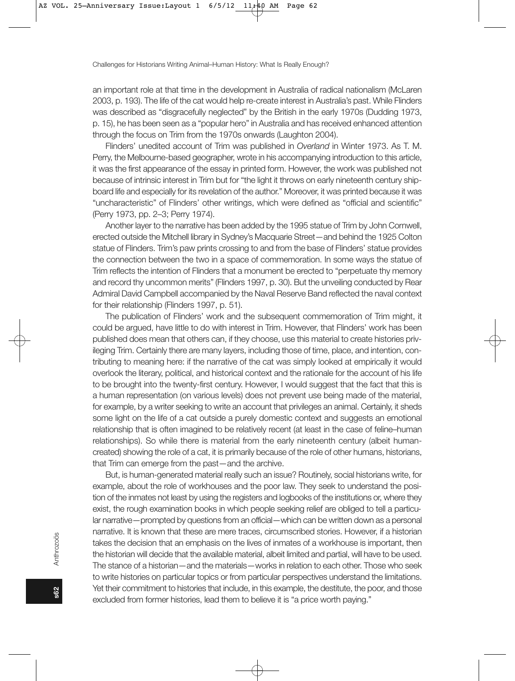an important role at that time in the development in Australia of radical nationalism (McLaren 2003, p. 193). The life of the cat would help re-create interest in Australia's past. While Flinders was described as "disgracefully neglected" by the British in the early 1970s (Dudding 1973, p. 15), he has been seen as a "popular hero" in Australia and has received enhanced attention through the focus on Trim from the 1970s onwards (Laughton 2004).

Flinders' unedited account of Trim was published in *Overland* in Winter 1973. As T. M. Perry, the Melbourne-based geographer, wrote in his accompanying introduction to this article, it was the first appearance of the essay in printed form. However, the work was published not because of intrinsic interest in Trim but for "the light it throws on early nineteenth century shipboard life and especially for its revelation of the author." Moreover, it was printed because it was "uncharacteristic" of Flinders' other writings, which were defined as "official and scientific" (Perry 1973, pp. 2–3; Perry 1974).

Another layer to the narrative has been added by the 1995 statue of Trim by John Cornwell, erected outside the Mitchell library in Sydney's Macquarie Street—and behind the 1925 Colton statue of Flinders. Trim's paw prints crossing to and from the base of Flinders' statue provides the connection between the two in a space of commemoration. In some ways the statue of Trim reflects the intention of Flinders that a monument be erected to "perpetuate thy memory and record thy uncommon merits" (Flinders 1997, p. 30). But the unveiling conducted by Rear Admiral David Campbell accompanied by the Naval Reserve Band reflected the naval context for their relationship (Flinders 1997, p. 51).

The publication of Flinders' work and the subsequent commemoration of Trim might, it could be argued, have little to do with interest in Trim. However, that Flinders' work has been published does mean that others can, if they choose, use this material to create histories privileging Trim. Certainly there are many layers, including those of time, place, and intention, contributing to meaning here: if the narrative of the cat was simply looked at empirically it would overlook the literary, political, and historical context and the rationale for the account of his life to be brought into the twenty-first century. However, I would suggest that the fact that this is a human representation (on various levels) does not prevent use being made of the material, for example, by a writer seeking to write an account that privileges an animal. Certainly, it sheds some light on the life of a cat outside a purely domestic context and suggests an emotional relationship that is often imagined to be relatively recent (at least in the case of feline–human relationships). So while there is material from the early nineteenth century (albeit humancreated) showing the role of a cat, it is primarily because of the role of other humans, historians, that Trim can emerge from the past—and the archive.

But, is human-generated material really such an issue? Routinely, social historians write, for example, about the role of workhouses and the poor law. They seek to understand the position of the inmates not least by using the registers and logbooks of the institutions or, where they exist, the rough examination books in which people seeking relief are obliged to tell a particular narrative—prompted by questions from an official—which can be written down as a personal narrative. It is known that these are mere traces, circumscribed stories. However, if a historian takes the decision that an emphasis on the lives of inmates of a workhouse is important, then the historian will decide that the available material, albeit limited and partial, will have to be used. The stance of a historian—and the materials—works in relation to each other. Those who seek to write histories on particular topics or from particular perspectives understand the limitations. Yet their commitment to histories that include, in this example, the destitute, the poor, and those excluded from former histories, lead them to believe it is "a price worth paying."

**S62**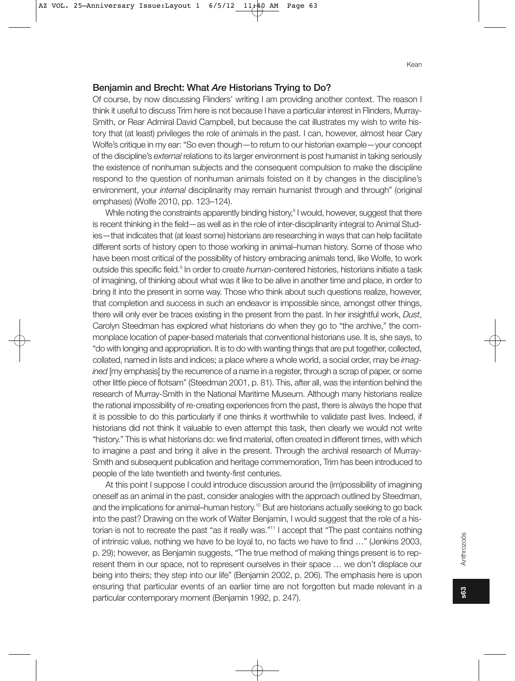## Benjamin and Brecht: What *Are* Historians Trying to Do?

Of course, by now discussing Flinders' writing I am providing another context. The reason I think it useful to discuss Trim here is not because I have a particular interest in Flinders, Murray-Smith, or Rear Admiral David Campbell, but because the cat illustrates my wish to write history that (at least) privileges the role of animals in the past. I can, however, almost hear Cary Wolfe's critique in my ear: "So even though—to return to our historian example—your concept of the discipline's *external* relations to its larger environment is post humanist in taking seriously the existence of nonhuman subjects and the consequent compulsion to make the discipline respond to the question of nonhuman animals foisted on it by changes in the discipline's environment, your *internal* disciplinarity may remain humanist through and through" (original emphases) (Wolfe 2010, pp. 123–124).

While noting the constraints apparently binding history, ${}^{8}$  I would, however, suggest that there is recent thinking in the field—as well as in the role of inter-disciplinarity integral to Animal Studies—that indicates that (at least some) historians are researching in ways that can help facilitate different sorts of history open to those working in animal–human history. Some of those who have been most critical of the possibility of history embracing animals tend, like Wolfe, to work outside this specific field. <sup>9</sup> In order to create *human*-centered histories, historians initiate a task of imagining, of thinking about what was it like to be alive in another time and place, in order to bring it into the present in some way. Those who think about such questions realize, however, that completion and success in such an endeavor is impossible since, amongst other things, there will only ever be traces existing in the present from the past. In her insightful work, *Dust*, Carolyn Steedman has explored what historians do when they go to "the archive," the commonplace location of paper-based materials that conventional historians use. It is, she says, to "do with longing and appropriation. It is to do with wanting things that are put together, collected, collated, named in lists and indices; a place where a whole world, a social order, may be *imagined* [my emphasis] by the recurrence of a name in a register, through a scrap of paper, or some other little piece of flotsam" (Steedman 2001, p. 81). This, after all, was the intention behind the research of Murray-Smith in the National Maritime Museum. Although many historians realize the rational impossibility of re-creating experiences from the past, there is always the hope that it is possible to do this particularly if one thinks it worthwhile to validate past lives. Indeed, if historians did not think it valuable to even attempt this task, then clearly we would not write "history." This is what historians do: we find material, often created in different times, with which to imagine a past and bring it alive in the present. Through the archival research of Murray-Smith and subsequent publication and heritage commemoration, Trim has been introduced to people of the late twentieth and twenty-first centuries.

At this point I suppose I could introduce discussion around the (im)possibility of imagining oneself as an animal in the past, consider analogies with the approach outlined by Steedman, and the implications for animal–human history.<sup>10</sup> But are historians actually seeking to go back into the past? Drawing on the work of Walter Benjamin, I would suggest that the role of a historian is not to recreate the past "as it really was."<sup>11</sup> I accept that "The past contains nothing of intrinsic value, nothing we have to be loyal to, no facts we have to find …" (Jenkins 2003, p. 29); however, as Benjamin suggests, "The true method of making things present is to represent them in our space, not to represent ourselves in their space … we don't displace our being into theirs; they step into our life" (Benjamin 2002, p. 206). The emphasis here is upon ensuring that particular events of an earlier time are not forgotten but made relevant in a particular contemporary moment (Benjamin 1992, p. 247).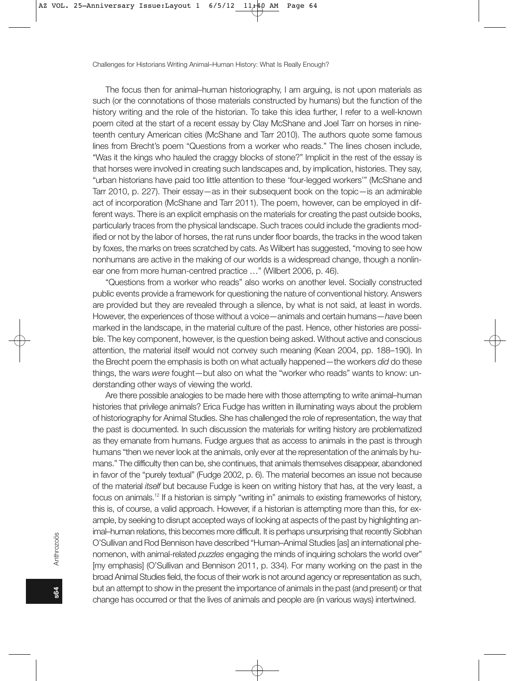The focus then for animal–human historiography, I am arguing, is not upon materials as such (or the connotations of those materials constructed by humans) but the function of the history writing and the role of the historian. To take this idea further, I refer to a well-known poem cited at the start of a recent essay by Clay McShane and Joel Tarr on horses in nineteenth century American cities (McShane and Tarr 2010). The authors quote some famous lines from Brecht's poem "Questions from a worker who reads." The lines chosen include, "Was it the kings who hauled the craggy blocks of stone?" Implicit in the rest of the essay is that horses were involved in creating such landscapes and, by implication, histories. They say, "urban historians have paid too little attention to these 'four-legged workers'" (McShane and Tarr 2010, p. 227). Their essay—as in their subsequent book on the topic—is an admirable act of incorporation (McShane and Tarr 2011). The poem, however, can be employed in different ways. There is an explicit emphasis on the materials for creating the past outside books, particularly traces from the physical landscape. Such traces could include the gradients modified or not by the labor of horses, the rat runs under floor boards, the tracks in the wood taken by foxes, the marks on trees scratched by cats. As Wilbert has suggested, "moving to see how nonhumans are active in the making of our worlds is a widespread change, though a nonlinear one from more human-centred practice …" (Wilbert 2006, p. 46).

"Questions from a worker who reads" also works on another level. Socially constructed public events provide a framework for questioning the nature of conventional history. Answers are provided but they are revealed through a silence, by what is not said, at least in words. However, the experiences of those without a voice—animals and certain humans—*have* been marked in the landscape, in the material culture of the past. Hence, other histories are possible. The key component, however, is the question being asked. Without active and conscious attention, the material itself would not convey such meaning (Kean 2004, pp. 188–190). In the Brecht poem the emphasis is both on what actually happened—the workers *did* do these things, the wars *were* fought—but also on what the "worker who reads" wants to know: understanding other ways of viewing the world.

Are there possible analogies to be made here with those attempting to write animal–human histories that privilege animals? Erica Fudge has written in illuminating ways about the problem of historiography for Animal Studies. She has challenged the role of representation, the way that the past is documented. In such discussion the materials for writing history are problematized as they emanate from humans. Fudge argues that as access to animals in the past is through humans "then we never look at the animals, only ever at the representation of the animals by humans." The difficulty then can be, she continues, that animals themselves disappear, abandoned in favor of the "purely textual" (Fudge 2002, p. 6). The material becomes an issue not because of the material *itself* but because Fudge is keen on writing history that has, at the very least, a focus on animals.<sup>12</sup> If a historian is simply "writing in" animals to existing frameworks of history, this is, of course, a valid approach. However, if a historian is attempting more than this, for example, by seeking to disrupt accepted ways of looking at aspects of the past by highlighting animal–human relations, this becomes more difficult. It is perhaps unsurprising that recently Siobhan O'Sullivan and Rod Bennison have described "Human–Animal Studies [as] an international phenomenon, with animal-related *puzzles* engaging the minds of inquiring scholars the world over" [my emphasis] (O'Sullivan and Bennison 2011, p. 334). For many working on the past in the broad Animal Studies field, the focus of their work is not around agency or representation as such, but an attempt to show in the present the importance of animals in the past (and present) or that change has occurred or that the lives of animals and people are (in various ways) intertwined.

**s64**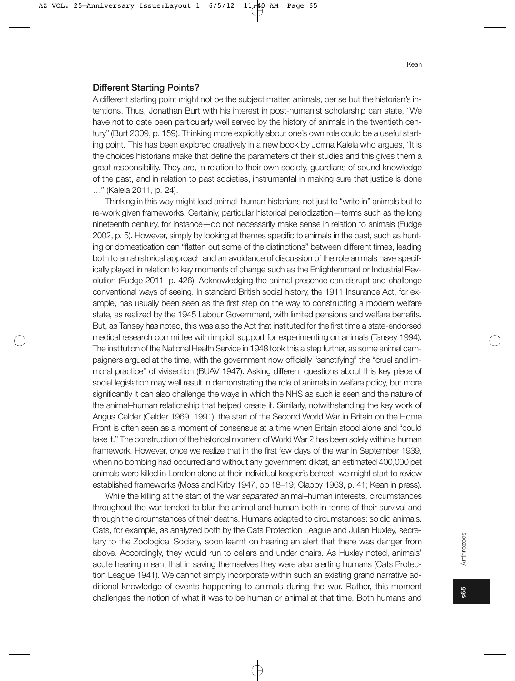#### Different Starting Points?

A different starting point might not be the subject matter, animals, per se but the historian's intentions. Thus, Jonathan Burt with his interest in post-humanist scholarship can state, "We have not to date been particularly well served by the history of animals in the twentieth century" (Burt 2009, p. 159). Thinking more explicitly about one's own role could be a useful starting point. This has been explored creatively in a new book by Jorma Kalela who argues, "It is the choices historians make that define the parameters of their studies and this gives them a great responsibility. They are, in relation to their own society, guardians of sound knowledge of the past, and in relation to past societies, instrumental in making sure that justice is done …" (Kalela 2011, p. 24).

Thinking in this way might lead animal–human historians not just to "write in" animals but to re-work given frameworks. Certainly, particular historical periodization—terms such as the long nineteenth century, for instance—do not necessarily make sense in relation to animals (Fudge 2002, p. 5). However, simply by looking at themes specific to animals in the past, such as hunting or domestication can "flatten out some of the distinctions" between different times, leading both to an ahistorical approach and an avoidance of discussion of the role animals have specifically played in relation to key moments of change such as the Enlightenment or Industrial Revolution (Fudge 2011, p. 426). Acknowledging the animal presence can disrupt and challenge conventional ways of seeing. In standard British social history, the 1911 Insurance Act, for example, has usually been seen as the first step on the way to constructing a modern welfare state, as realized by the 1945 Labour Government, with limited pensions and welfare benefits. But, as Tansey has noted, this was also the Act that instituted for the first time a state-endorsed medical research committee with implicit support for experimenting on animals (Tansey 1994). The institution of the National Health Service in 1948 took this a step further, as some animal campaigners argued at the time, with the government now officially "sanctifying" the "cruel and immoral practice" of vivisection (BUAV 1947). Asking different questions about this key piece of social legislation may well result in demonstrating the role of animals in welfare policy, but more significantly it can also challenge the ways in which the NHS as such is seen and the nature of the animal–human relationship that helped create it. Similarly, notwithstanding the key work of Angus Calder (Calder 1969; 1991), the start of the Second World War in Britain on the Home Front is often seen as a moment of consensus at a time when Britain stood alone and "could take it." The construction of the historical moment of World War 2 has been solely within a human framework. However, once we realize that in the first few days of the war in September 1939, when no bombing had occurred and without any government diktat, an estimated 400,000 pet animals were killed in London alone at their individual keeper's behest, we might start to review established frameworks (Moss and Kirby 1947, pp.18–19; Clabby 1963, p. 41; Kean in press).

While the killing at the start of the war *separated* animal–human interests, circumstances throughout the war tended to blur the animal and human both in terms of their survival and through the circumstances of their deaths. Humans adapted to circumstances: so did animals. Cats, for example, as analyzed both by the Cats Protection League and Julian Huxley, secretary to the Zoological Society, soon learnt on hearing an alert that there was danger from above. Accordingly, they would run to cellars and under chairs. As Huxley noted, animals' acute hearing meant that in saving themselves they were also alerting humans (Cats Protection League 1941). We cannot simply incorporate within such an existing grand narrative additional knowledge of events happening to animals during the war. Rather, this moment challenges the notion of what it was to be human or animal at that time. Both humans and

365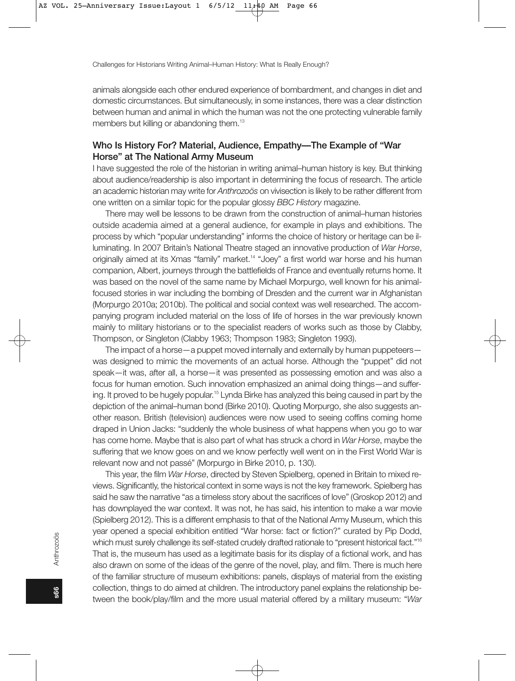animals alongside each other endured experience of bombardment, and changes in diet and domestic circumstances. But simultaneously, in some instances, there was a clear distinction between human and animal in which the human was not the one protecting vulnerable family members but killing or abandoning them.<sup>13</sup>

# Who Is History For? Material, Audience, Empathy—The Example of "War Horse" at The National Army Museum

I have suggested the role of the historian in writing animal–human history is key. But thinking about audience/readership is also important in determining the focus of research. The article an academic historian may write for *Anthrozoös* on vivisection is likely to be rather different from one written on a similar topic for the popular glossy *BBC History* magazine.

There may well be lessons to be drawn from the construction of animal–human histories outside academia aimed at a general audience, for example in plays and exhibitions. The process by which "popular understanding" informs the choice of history or heritage can be illuminating. In 2007 Britain's National Theatre staged an innovative production of *War Horse*, originally aimed at its Xmas "family" market.<sup>14</sup> "Joey" a first world war horse and his human companion, Albert, journeys through the battlefields of France and eventually returns home. It was based on the novel of the same name by Michael Morpurgo, well known for his animalfocused stories in war including the bombing of Dresden and the current war in Afghanistan (Morpurgo 2010a; 2010b). The political and social context was well researched. The accompanying program included material on the loss of life of horses in the war previously known mainly to military historians or to the specialist readers of works such as those by Clabby, Thompson, or Singleton (Clabby 1963; Thompson 1983; Singleton 1993).

The impact of a horse—a puppet moved internally and externally by human puppeteers was designed to mimic the movements of an actual horse. Although the "puppet" did not speak—it was, after all, a horse—it was presented as possessing emotion and was also a focus for human emotion. Such innovation emphasized an animal doing things—and suffering. It proved to be hugely popular.<sup>15</sup> Lynda Birke has analyzed this being caused in part by the depiction of the animal–human bond (Birke 2010). Quoting Morpurgo, she also suggests another reason. British (television) audiences were now used to seeing coffins coming home draped in Union Jacks: "suddenly the whole business of what happens when you go to war has come home. Maybe that is also part of what has struck a chord in *War Horse*, maybe the suffering that we know goes on and we know perfectly well went on in the First World War is relevant now and not passé" (Morpurgo in Birke 2010, p. 130).

This year, the film *War Horse*, directed by Steven Spielberg, opened in Britain to mixed reviews. Significantly, the historical context in some ways is not the key framework. Spielberg has said he saw the narrative "as a timeless story about the sacrifices of love" (Groskop 2012) and has downplayed the war context. It was not, he has said, his intention to make a war movie (Spielberg 2012). This is a different emphasis to that of the National Army Museum, which this year opened a special exhibition entitled "War horse: fact or fiction?" curated by Pip Dodd, which must surely challenge its self-stated crudely drafted rationale to "present historical fact." 16 That is, the museum has used as a legitimate basis for its display of a fictional work, and has also drawn on some of the ideas of the genre of the novel, play, and film. There is much here of the familiar structure of museum exhibitions: panels, displays of material from the existing collection, things to do aimed at children. The introductory panel explains the relationship between the book/play/film and the more usual material offered by a military museum: "*War*

**99S**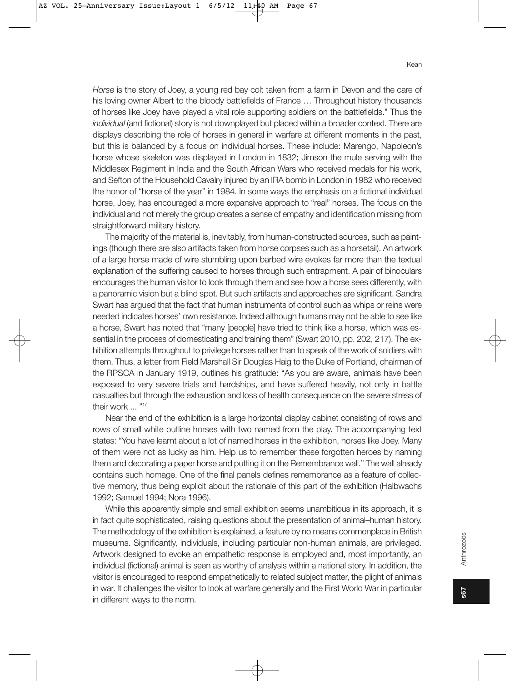*Horse* is the story of Joey, a young red bay colt taken from a farm in Devon and the care of his loving owner Albert to the bloody battlefields of France … Throughout history thousands of horses like Joey have played a vital role supporting soldiers on the battlefields." Thus the *individual* (and fictional) story is not downplayed but placed within a broader context. There are displays describing the role of horses in general in warfare at different moments in the past, but this is balanced by a focus on individual horses. These include: Marengo, Napoleon's horse whose skeleton was displayed in London in 1832; Jimson the mule serving with the Middlesex Regiment in India and the South African Wars who received medals for his work, and Sefton of the Household Cavalry injured by an IRA bomb in London in 1982 who received the honor of "horse of the year" in 1984. In some ways the emphasis on a fictional individual horse, Joey, has encouraged a more expansive approach to "real" horses. The focus on the individual and not merely the group creates a sense of empathy and identification missing from straightforward military history.

The majority of the material is, inevitably, from human-constructed sources, such as paintings (though there are also artifacts taken from horse corpses such as a horsetail). An artwork of a large horse made of wire stumbling upon barbed wire evokes far more than the textual explanation of the suffering caused to horses through such entrapment. A pair of binoculars encourages the human visitor to look through them and see how a horse sees differently, with a panoramic vision but a blind spot. But such artifacts and approaches are significant. Sandra Swart has argued that the fact that human instruments of control such as whips or reins were needed indicates horses' own resistance. Indeed although humans may not be able to see like a horse, Swart has noted that "many [people] have tried to think like a horse, which was essential in the process of domesticating and training them" (Swart 2010, pp. 202, 217). The exhibition attempts throughout to privilege horses rather than to speak of the work of soldiers with them. Thus, a letter from Field Marshall Sir Douglas Haig to the Duke of Portland, chairman of the RPSCA in January 1919, outlines his gratitude: "As you are aware, animals have been exposed to very severe trials and hardships, and have suffered heavily, not only in battle casualties but through the exhaustion and loss of health consequence on the severe stress of their work ... " 17

Near the end of the exhibition is a large horizontal display cabinet consisting of rows and rows of small white outline horses with two named from the play. The accompanying text states: "You have learnt about a lot of named horses in the exhibition, horses like Joey. Many of them were not as lucky as him. Help us to remember these forgotten heroes by naming them and decorating a paper horse and putting it on the Remembrance wall." The wall already contains such homage. One of the final panels defines remembrance as a feature of collective memory, thus being explicit about the rationale of this part of the exhibition (Halbwachs 1992; Samuel 1994; Nora 1996).

While this apparently simple and small exhibition seems unambitious in its approach, it is in fact quite sophisticated, raising questions about the presentation of animal–human history. The methodology of the exhibition is explained, a feature by no means commonplace in British museums. Significantly, individuals, including particular non-human animals, are privileged. Artwork designed to evoke an empathetic response is employed and, most importantly, an individual (fictional) animal is seen as worthy of analysis within a national story. In addition, the visitor is encouraged to respond empathetically to related subject matter, the plight of animals in war. It challenges the visitor to look at warfare generally and the First World War in particular in different ways to the norm.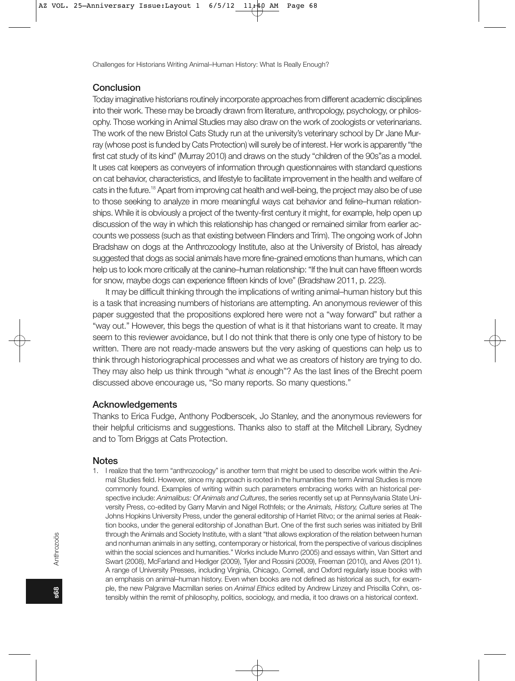# Conclusion

Today imaginative historians routinely incorporate approaches from different academic disciplines into their work. These may be broadly drawn from literature, anthropology, psychology, or philosophy. Those working in Animal Studies may also draw on the work of zoologists or veterinarians. The work of the new Bristol Cats Study run at the university's veterinary school by Dr Jane Murray (whose post is funded by Cats Protection) will surely be of interest. Her work is apparently "the first cat study of its kind" (Murray 2010) and draws on the study "children of the 90s"as a model. It uses cat keepers as conveyers of information through questionnaires with standard questions on cat behavior, characteristics, and lifestyle to facilitate improvement in the health and welfare of cats in the future.<sup>18</sup> Apart from improving cat health and well-being, the project may also be of use to those seeking to analyze in more meaningful ways cat behavior and feline–human relationships. While it is obviously a project of the twenty-first century it might, for example, help open up discussion of the way in which this relationship has changed or remained similar from earlier accounts we possess (such as that existing between Flinders and Trim). The ongoing work of John Bradshaw on dogs at the Anthrozoology Institute, also at the University of Bristol, has already suggested that dogs as social animals have more fine-grained emotions than humans, which can help us to look more critically at the canine–human relationship: "If the Inuit can have fifteen words for snow, maybe dogs can experience fifteen kinds of love" (Bradshaw 2011, p. 223).

It may be difficult thinking through the implications of writing animal–human history but this is a task that increasing numbers of historians are attempting. An anonymous reviewer of this paper suggested that the propositions explored here were not a "way forward" but rather a "way out." However, this begs the question of what is it that historians want to create. It may seem to this reviewer avoidance, but I do not think that there is only one type of history to be written. There are not ready-made answers but the very asking of questions can help us to think through historiographical processes and what we as creators of history are trying to do. They may also help us think through "what *is* enough"? As the last lines of the Brecht poem discussed above encourage us, "So many reports. So many questions."

# Acknowledgements

Thanks to Erica Fudge, Anthony Podberscek, Jo Stanley, and the anonymous reviewers for their helpful criticisms and suggestions. Thanks also to staff at the Mitchell Library, Sydney and to Tom Briggs at Cats Protection.

# Notes

1. I realize that the term "anthrozoology" is another term that might be used to describe work within the Animal Studies field. However, since my approach is rooted in the humanities the term Animal Studies is more commonly found. Examples of writing within such parameters embracing works with an historical perspective include: *Animalibus: Of Animals and Cultures*, the series recently set up at Pennsylvania State University Press, co-edited by Garry Marvin and Nigel Rothfels; or the *Animals, History, Culture* series at The Johns Hopkins University Press, under the general editorship of Harriet Ritvo; or the animal series at Reaktion books, under the general editorship of Jonathan Burt. One of the first such series was initiated by Brill through the Animals and Society Institute, with a slant "that allows exploration of the relation between human and nonhuman animals in any setting, contemporary or historical, from the perspective of various disciplines within the social sciences and humanities." Works include Munro (2005) and essays within, Van Sittert and Swart (2008), McFarland and Hediger (2009), Tyler and Rossini (2009), Freeman (2010), and Alves (2011). A range of University Presses, including Virginia, Chicago, Cornell, and Oxford regularly issue books with an emphasis on animal–human history. Even when books are not defined as historical as such, for example, the new Palgrave Macmillan series on *Animal Ethics* edited by Andrew Linzey and Priscilla Cohn, ostensibly within the remit of philosophy, politics, sociology, and media, it too draws on a historical context.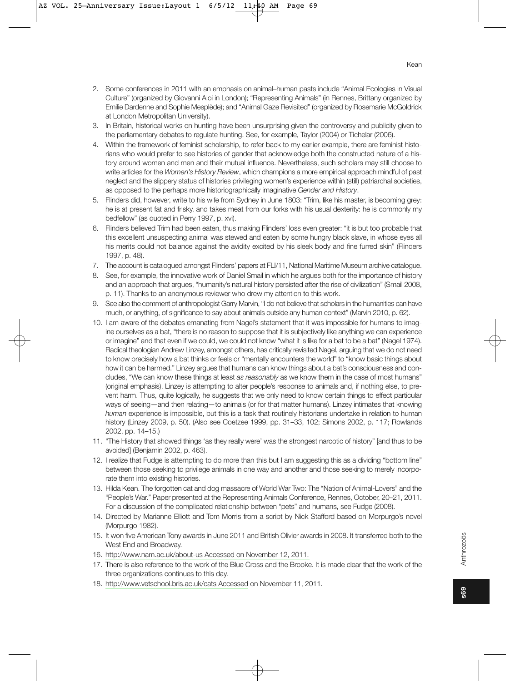- 2. Some conferences in 2011 with an emphasis on animal–human pasts include "Animal Ecologies in Visual Culture" (organized by Giovanni Aloi in London); "Representing Animals" (in Rennes, Brittany organized by Emilie Dardenne and Sophie Mesplède); and "Animal Gaze Revisited" (organized by Rosemarie McGoldrick at London Metropolitan University).
- 3. In Britain, historical works on hunting have been unsurprising given the controversy and publicity given to the parliamentary debates to regulate hunting. See, for example, Taylor (2004) or Tichelar (2006).
- 4. Within the framework of feminist scholarship, to refer back to my earlier example, there are feminist historians who would prefer to see histories of gender that acknowledge both the constructed nature of a history around women and men and their mutual influence. Nevertheless, such scholars may still choose to write articles for the *Women's History Review*, which champions a more empirical approach mindful of past neglect and the slippery status of histories privileging women's experience within (still) patriarchal societies, as opposed to the perhaps more historiographically imaginative *Gender and History*.
- 5. Flinders did, however, write to his wife from Sydney in June 1803: "Trim, like his master, is becoming grey: he is at present fat and frisky, and takes meat from our forks with his usual dexterity: he is commonly my bedfellow" (as quoted in Perry 1997, p. xvi).
- 6. Flinders believed Trim had been eaten, thus making Flinders' loss even greater: "it is but too probable that this excellent unsuspecting animal was stewed and eaten by some hungry black slave, in whose eyes all his merits could not balance against the avidity excited by his sleek body and fine furred skin" (Flinders 1997, p. 48).
- 7. The account is catalogued amongst Flinders' papers at FLI/11, National Maritime Museum archive catalogue.
- 8. See, for example, the innovative work of Daniel Smail in which he argues both for the importance of history and an approach that argues, "humanity's natural history persisted after the rise of civilization" (Smail 2008, p. 11). Thanks to an anonymous reviewer who drew my attention to this work.
- 9. See also the comment of anthropologist Garry Marvin, "I do not believe that scholars in the humanities can have much, or anything, of significance to say about animals outside any human context" (Marvin 2010, p. 62).
- 10. I am aware of the debates emanating from Nagel's statement that it was impossible for humans to imagine ourselves as a bat, "there is no reason to suppose that it is subjectively like anything we can experience or imagine" and that even if we could, we could not know "what it is like for a bat to be a bat" (Nagel 1974). Radical theologian Andrew Linzey, amongst others, has critically revisited Nagel, arguing that we do not need to know precisely how a bat thinks or feels or "mentally encounters the world" to "know basic things about how it can be harmed." Linzey argues that humans can know things about a bat's consciousness and concludes, "We can know these things at least *as reasonably* as we know them in the case of most humans" (original emphasis). Linzey is attempting to alter people's response to animals and, if nothing else, to prevent harm. Thus, quite logically, he suggests that we only need to know certain things to effect particular ways of seeing—and then relating—to animals (or for that matter humans). Linzey intimates that knowing *human* experience is impossible, but this is a task that routinely historians undertake in relation to human history (Linzey 2009, p. 50). (Also see Coetzee 1999, pp. 31–33, 102; Simons 2002, p. 117; Rowlands 2002, pp. 14–15.)
- 11. "The History that showed things 'as they really were' was the strongest narcotic of history" [and thus to be avoided] (Benjamin 2002, p. 463).
- 12. I realize that Fudge is attempting to do more than this but I am suggesting this as a dividing "bottom line" between those seeking to privilege animals in one way and another and those seeking to merely incorporate them into existing histories.
- 13. Hilda Kean. The forgotten cat and dog massacre of World War Two: The "Nation of Animal-Lovers" and the "People's War." Paper presented at the Representing Animals Conference, Rennes, October, 20–21, 2011. For a discussion of the complicated relationship between "pets" and humans, see Fudge (2008).
- 14. Directed by Marianne Elliott and Tom Morris from a script by Nick Stafford based on Morpurgo's novel (Morpurgo 1982).
- 15. It won five American Tony awards in June 2011 and British Olivier awards in 2008. It transferred both to the West End and Broadway.
- 16. [http://www.nam.ac.uk/about-us](http://www.nam.ac.uk/about-usAccessedonNovember12,2011) [Accessed](http://www.nam.ac.uk/about-usAccessedonNovember12,2011) [on](http://www.nam.ac.uk/about-usAccessedonNovember12,2011) [November](http://www.nam.ac.uk/about-usAccessedonNovember12,2011) [12,](http://www.nam.ac.uk/about-usAccessedonNovember12,2011) [2011.](http://www.nam.ac.uk/about-usAccessedonNovember12,2011)
- 17. There is also reference to the work of the Blue Cross and the Brooke. It is made clear that the work of the three organizations continues to this day.
- 18. [http://www.vetschool.bris.ac.uk/cats](http://www.vetschool.bris.ac.uk/catsAccessed) [Accessed](http://www.vetschool.bris.ac.uk/catsAccessed) on November 11, 2011.

69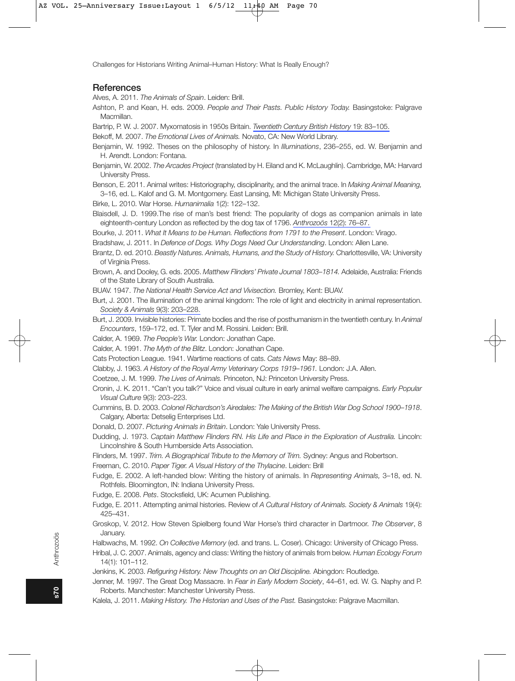Challenges for Historians Writing Animal–Human History: What Is Really Enough?

#### **References**

Alves, A. 2011. *The Animals of Spain*. Leiden: Brill.

- Ashton, P. and Kean, H. eds. 2009. *People and Their Pasts. Public History Today.* Basingstoke: Palgrave Macmillan.
- Bartrip, P. W. J. 2007. Myxomatosis in 1950s Britain. *[Twentieth](http://www.ingentaconnect.com/content/external-references?article=0955-2359()19L.83%5Baid=9985051%5D) Century British History* 19: 83–105.

Bekoff, M. 2007. *The Emotional Lives of Animals.* Novato, CA: New World Library.

- Benjamin, W. 1992. Theses on the philosophy of history. In *Illuminations*, 236–255, ed. W. Benjamin and H. Arendt. London: Fontana.
- Benjamin, W. 2002. *The Arcades Project* (translated by H. Eiland and K. McLaughlin). Cambridge, MA: Harvard University Press.
- Benson, E. 2011. Animal writes: Historiography, disciplinarity, and the animal trace. In *Making Animal Meaning,* 3–16, ed. L. Kalof and G. M. Montgomery. East Lansing, MI: Michigan State University Press.
- Birke, L. 2010. War Horse. *Humanimalia* 1(2): 122–132.
- Blaisdell, J. D. 1999.The rise of man's best friend: The popularity of dogs as companion animals in late eighteenth-century London as reflected by the dog tax of 1796. *[Anthrozoös](http://www.ingentaconnect.com/content/external-references?article=0892-7936()12:2L.76%5Baid=9985058%5D)* 12(2): 76–87.

Bourke, J. 2011. *What It Means to be Human. Reflections from 1791 to the Present*. London: Virago.

Bradshaw, J. 2011. In *Defence of Dogs. Why Dogs Need Our Understanding*. London: Allen Lane.

- Brantz, D. ed. 2010. *Beastly Natures. Animals, Humans, and the Study of History.* Charlottesville, VA: University of Virginia Press.
- Brown, A. and Dooley, G. eds. 2005. *Matthew Flinders' Private Journal 1803–1814.* Adelaide, Australia: Friends of the State Library of South Australia.

BUAV. 1947. *The National Health Service Act and Vivisection.* Bromley, Kent: BUAV.

- Burt, J. 2001. The illumination of the animal kingdom: The role of light and electricity in animal representation. *Society & Animals* 9(3): [203–228.](http://www.ingentaconnect.com/content/external-references?article=1063-1119()9:3L.203%5Baid=9985055%5D)
- Burt, J. 2009. Invisible histories: Primate bodies and the rise of posthumanism in the twentieth century. In *Animal Encounters*, 159–172, ed. T. Tyler and M. Rossini. Leiden: Brill.
- Calder, A. 1969. *The People's War.* London: Jonathan Cape.
- Calder, A. 1991. *The Myth of the Blitz*. London: Jonathan Cape.
- Cats Protection League. 1941. Wartime reactions of cats. *Cats News* May: 88–89.
- Clabby, J. 1963. *A History of the Royal Army Veterinary Corps 1919–1961.* London: J.A. Allen.
- Coetzee, J. M. 1999. *The Lives of Animals.* Princeton, NJ: Princeton University Press.
- Cronin, J. K. 2011. "Can't you talk?" Voice and visual culture in early animal welfare campaigns. *Early Popular Visual Culture* 9(3): 203–223.
- Cummins, B. D. 2003. *Colonel Richardson's Airedales: The Making of the British War Dog School 1900–1918*. Calgary, Alberta: Detselig Enterprises Ltd.
- Donald, D. 2007. *Picturing Animals in Britain*. London: Yale University Press.
- Dudding, J. 1973. *Captain Matthew Flinders RN. His Life and Place in the Exploration of Australia.* Lincoln: Lincolnshire & South Humberside Arts Association.
- Flinders, M. 1997. *Trim. A Biographical Tribute to the Memory of Trim.* Sydney: Angus and Robertson.

Freeman, C. 2010. *Paper Tiger. A Visual History of the Thylacine*. Leiden: Brill

- Fudge, E. 2002. A left-handed blow: Writing the history of animals. In *Representing Animals,* 3–18, ed. N. Rothfels. Bloomington, IN: Indiana University Press.
- Fudge, E. 2008. *Pets*. Stocksfield, UK: Acumen Publishing.
- Fudge, E. 2011. Attempting animal histories. Review of *A Cultural History of Animals. Society & Animals* 19(4): 425–431.
- Groskop, V. 2012. How Steven Spielberg found War Horse's third character in Dartmoor. *The Observer*, 8 January.
- Halbwachs, M. 1992. *On Collective Memory* (ed. and trans. L. Coser). Chicago: University of Chicago Press.
- Hribal, J. C. 2007. Animals, agency and class: Writing the history of animals from below. *Human Ecology Forum* 14(1): 101–112.
- Jenkins, K. 2003. *Refiguring History. New Thoughts on an Old Discipline.* Abingdon: Routledge.
- Jenner, M. 1997. The Great Dog Massacre. In *Fear in Early Modern Society*, 44–61, ed. W. G. Naphy and P. Roberts. Manchester: Manchester University Press.
- Kalela, J. 2011. *Making History. The Historian and Uses of the Past.* Basingstoke: Palgrave Macmillan.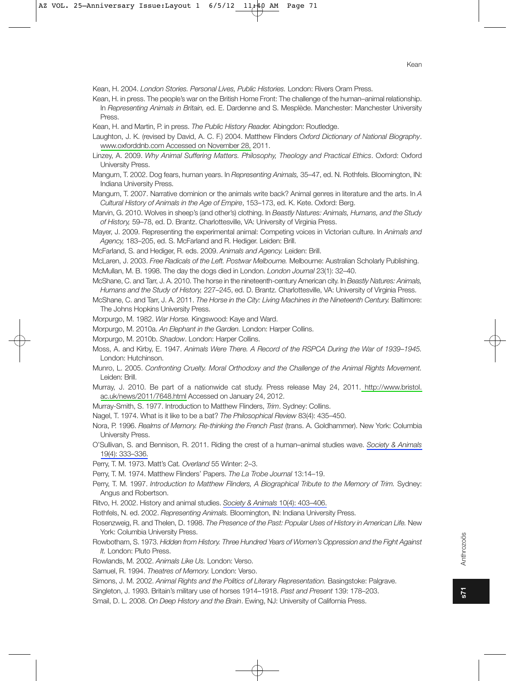- Kean, H. in press. The people's war on the British Home Front: The challenge of the human–animal relationship. In *Representing Animals in Britain,* ed. E. Dardenne and S. Mesplède. Manchester: Manchester University Press.
- Kean, H. and Martin, P. in press. *The Public History Reader.* Abingdon: Routledge.
- Laughton, J. K. (revised by David, A. C. F.) 2004. Matthew Flinders *Oxford Dictionary of National Biography*. [www.oxforddnb.com](http://www.oxforddnb.comAccessedonNovember28) [Accessed](http://www.oxforddnb.comAccessedonNovember28) [on](http://www.oxforddnb.comAccessedonNovember28) [November](http://www.oxforddnb.comAccessedonNovember28) [28,](http://www.oxforddnb.comAccessedonNovember28) 2011.
- Linzey, A. 2009. *Why Animal Suffering Matters. Philosophy, Theology and Practical Ethics*. Oxford: Oxford University Press.
- Mangum, T. 2002. Dog fears, human years. In *Representing Animals,* 35–47, ed. N. Rothfels. Bloomington, IN: Indiana University Press.
- Mangum, T. 2007. Narrative dominion or the animals write back? Animal genres in literature and the arts. In *A Cultural History of Animals in the Age of Empire*, 153–173, ed. K. Kete. Oxford: Berg.
- Marvin, G. 2010. Wolves in sheep's (and other's) clothing. In *Beastly Natures: Animals, Humans, and the Study of History,* 59–78, ed. D. Brantz. Charlottesville, VA: University of Virginia Press.
- Mayer, J. 2009. Representing the experimental animal: Competing voices in Victorian culture. In *Animals and Agency,* 183–205, ed. S. McFarland and R. Hediger. Leiden: Brill.
- McFarland, S. and Hediger, R. eds. 2009. *Animals and Agency.* Leiden: Brill.
- McLaren, J. 2003. *Free Radicals of the Left. Postwar Melbourne.* Melbourne: Australian Scholarly Publishing.
- McMullan, M. B. 1998. The day the dogs died in London. *London Journal* 23(1): 32–40.
- McShane, C. and Tarr, J. A. 2010. The horse in the nineteenth-century American city. In *Beastly Natures: Animals, Humans and the Study of History,* 227–245, ed. D. Brantz. Charlottesville, VA: University of Virginia Press.
- McShane, C. and Tarr, J. A. 2011. *The Horse in the City: Living Machines in the Nineteenth Century.* Baltimore: The Johns Hopkins University Press.
- Morpurgo, M. 1982. *War Horse.* Kingswood: Kaye and Ward.
- Morpurgo, M. 2010a. *An Elephant in the Garden.* London: Harper Collins.
- Morpurgo, M. 2010b. *Shadow*. London: Harper Collins.
- Moss, A. and Kirby, E. 1947. *Animals Were There. A Record of the RSPCA During the War of 1939–1945.* London: Hutchinson.
- Munro, L. 2005. *Confronting Cruelty. Moral Orthodoxy and the Challenge of the Animal Rights Movement.* Leiden: Brill.
- Murray, J. 2010. Be part of a nationwide cat study. Press release May 24, 2011. [http://www.bristol.](http://www.bristol.ac.uk/news/2011/7648.html) [ac.uk/news/2011/7648.html](http://www.bristol.ac.uk/news/2011/7648.html) Accessed on January 24, 2012.
- Murray-Smith, S. 1977. Introduction to Matthew Flinders, *Trim*. Sydney: Collins.
- Nagel, T. 1974. What is it like to be a bat? *The Philosophical Review* 83(4): 435–450.
- Nora, P. 1996. *Realms of Memory. Re-thinking the French Past* (trans. A. Goldhammer). New York: Columbia University Press.
- O'Sullivan, S. and Bennison, R. 2011. Riding the crest of a human–animal studies wave. *Society & [Animals](http://www.ingentaconnect.com/content/external-references?article=1063-1119()19:4L.333%5Baid=9985062%5D)* 19(4): [333–336.](http://www.ingentaconnect.com/content/external-references?article=1063-1119()19:4L.333%5Baid=9985062%5D)
- Perry, T. M. 1973. Matt's Cat*. Overland* 55 Winter: 2–3.
- Perry, T. M. 1974. Matthew Flinders' Papers. *The La Trobe Journal* 13:14–19.
- Perry, T. M. 1997. *Introduction to Matthew Flinders, A Biographical Tribute to the Memory of Trim.* Sydney: Angus and Robertson.
- Ritvo, H. 2002. History and animal studies. *Society & Animals* 10(4): [403–406.](http://www.ingentaconnect.com/content/external-references?article=1063-1119()10:4L.403%5Baid=9894273%5D)
- Rothfels, N. ed. 2002. *Representing Animals.* Bloomington, IN: Indiana University Press.
- Rosenzweig, R. and Thelen, D. 1998. *The Presence of the Past: Popular Uses of History in American Life.* New York: Columbia University Press.
- Rowbotham, S. 1973. *Hidden from History. Three Hundred Years of Women's Oppression and the Fight Against It.* London: Pluto Press.
- Rowlands, M. 2002. *Animals Like Us.* London: Verso.
- Samuel, R. 1994. *Theatres of Memory.* London: Verso.
- Simons, J. M. 2002. *Animal Rights and the Politics of Literary Representation.* Basingstoke: Palgrave.
- Singleton, J. 1993. Britain's military use of horses 1914–1918. *Past and Present* 139: 178–203.
- Smail, D. L. 2008. *On Deep History and the Brain*. Ewing, NJ: University of California Press.

 $\overline{5}$